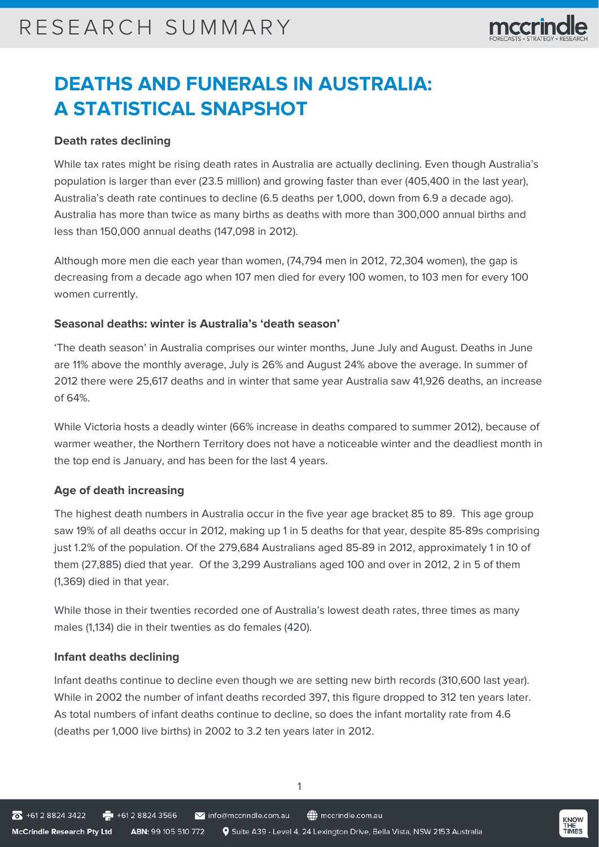## **DEATHS AND FUNERALS IN AUSTRALIA: A STATISTICAL SNAPSHOT**

### **Death rates declining**

While tax rates might be rising death rates in Australia are actually declining. Even though Australia's population is larger than ever (23.5 million) and growing faster than ever (405,400 in the last year), Australia's death rate continues to decline (6.5 deaths per 1,000, down from 6.9 a decade ago). Australia has more than twice as many births as deaths with more than 300,000 annual births and less than 150,000 annual deaths (147,098 in 2012).

Although more men die each year than women, (74,794 men in 2012, 72,304 women), the gap is decreasing from a decade ago when 107 men died for every 100 women, to 103 men for every 100 women currently.

### **Seasonal deaths: winter is Australia's 'death season'**

'The death season' in Australia comprises our winter months, June July and August. Deaths in June are 11% above the monthly average, July is 26% and August 24% above the average. In summer of 2012 there were 25,617 deaths and in winter that same year Australia saw 41,926 deaths, an increase of 64%.

While Victoria hosts a deadly winter (66% increase in deaths compared to summer 2012), because of warmer weather, the Northern Territory does not have a noticeable winter and the deadliest month in the top end is January, and has been for the last 4 years.

## **Age of death increasing**

The highest death numbers in Australia occur in the five year age bracket 85 to 89. This age group saw 19% of all deaths occur in 2012, making up 1 in 5 deaths for that year, despite 85-89s comprising just 1.2% of the population. Of the 279,684 Australians aged 85-89 in 2012, approximately 1 in 10 of them (27,885) died that year. Of the 3,299 Australians aged 100 and over in 2012, 2 in 5 of them (1,369) died in that year.

While those in their twenties recorded one of Australia's lowest death rates, three times as many males (1,134) die in their twenties as do females (420).

#### **Infant deaths declining**

Infant deaths continue to decline even though we are setting new birth records (310,600 last year). While in 2002 the number of infant deaths recorded 397, this figure dropped to 312 ten years later. As total numbers of infant deaths continue to decline, so does the infant mortality rate from 4.6 (deaths per 1,000 live births) in 2002 to 3.2 ten years later in 2012.

1

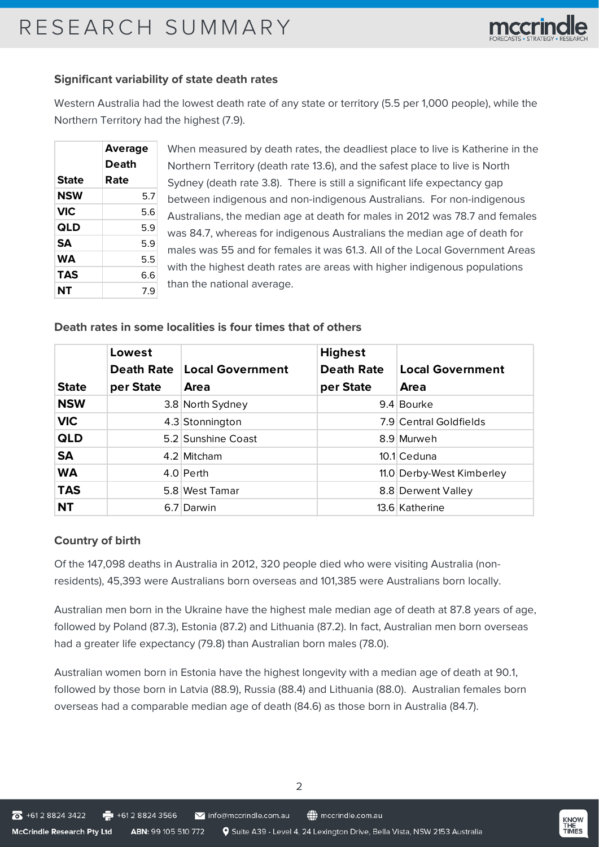

#### **Significant variability of state death rates**

Western Australia had the lowest death rate of any state or territory (5.5 per 1,000 people), while the Northern Territory had the highest (7.9).

|              | Average |  |  |
|--------------|---------|--|--|
|              | Death   |  |  |
| <b>State</b> | Rate    |  |  |
| NSW          | 5.7     |  |  |
| <b>VIC</b>   | 5.6     |  |  |
| QLD          | 5.9     |  |  |
| <b>SA</b>    | 5.9     |  |  |
| WА           | 5.5     |  |  |
| TAS          | 6.6     |  |  |
| NT           | 7.9     |  |  |

When measured by death rates, the deadliest place to live is Katherine in the Northern Territory (death rate 13.6), and the safest place to live is North Sydney (death rate 3.8). There is still a significant life expectancy gap between indigenous and non-indigenous Australians. For non-indigenous Australians, the median age at death for males in 2012 was 78.7 and females was 84.7, whereas for indigenous Australians the median age of death for males was 55 and for females it was 61.3. All of the Local Government Areas with the highest death rates are areas with higher indigenous populations than the national average.

#### **Death rates in some localities is four times that of others**

|              | Lowest    |                               | <b>Highest</b>    |                           |
|--------------|-----------|-------------------------------|-------------------|---------------------------|
|              |           | Death Rate   Local Government | <b>Death Rate</b> | <b>Local Government</b>   |
| <b>State</b> | per State | Area                          | per State         | Area                      |
| <b>NSW</b>   |           | 3.8 North Sydney              |                   | 9.4 Bourke                |
| <b>VIC</b>   |           | 4.3 Stonnington               |                   | 7.9 Central Goldfields    |
| QLD          |           | 5.2 Sunshine Coast            |                   | 8.9 Murweh                |
| <b>SA</b>    |           | 4.2 Mitcham                   |                   | 10.1 Ceduna               |
| <b>WA</b>    |           | 4.0 Perth                     |                   | 11.0 Derby-West Kimberley |
| <b>TAS</b>   |           | 5.8 West Tamar                |                   | 8.8 Derwent Valley        |
| <b>NT</b>    |           | 6.7 Darwin                    |                   | 13.6 Katherine            |

#### **Country of birth**

Of the 147,098 deaths in Australia in 2012, 320 people died who were visiting Australia (nonresidents), 45,393 were Australians born overseas and 101,385 were Australians born locally.

Australian men born in the Ukraine have the highest male median age of death at 87.8 years of age, followed by Poland (87.3), Estonia (87.2) and Lithuania (87.2). In fact, Australian men born overseas had a greater life expectancy (79.8) than Australian born males (78.0).

Australian women born in Estonia have the highest longevity with a median age of death at 90.1, followed by those born in Latvia (88.9), Russia (88.4) and Lithuania (88.0). Australian females born overseas had a comparable median age of death (84.6) as those born in Australia (84.7).

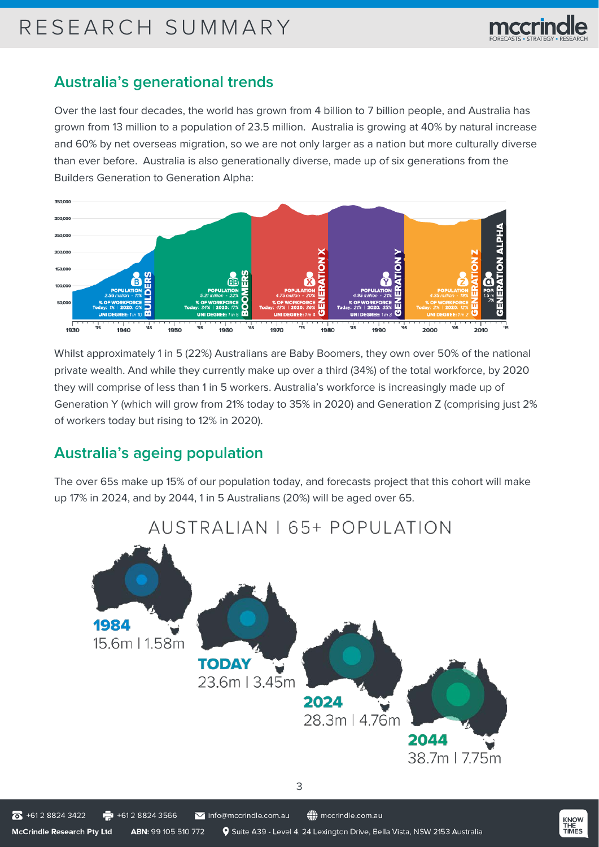

## **Australia's generational trends**

Over the last four decades, the world has grown from 4 billion to 7 billion people, and Australia has grown from 13 million to a population of 23.5 million. Australia is growing at 40% by natural increase and 60% by net overseas migration, so we are not only larger as a nation but more culturally diverse than ever before. Australia is also generationally diverse, made up of six generations from the Builders Generation to Generation Alpha:



Whilst approximately 1 in 5 (22%) Australians are Baby Boomers, they own over 50% of the national private wealth. And while they currently make up over a third (34%) of the total workforce, by 2020 they will comprise of less than 1 in 5 workers. Australia's workforce is increasingly made up of Generation Y (which will grow from 21% today to 35% in 2020) and Generation Z (comprising just 2% of workers today but rising to 12% in 2020).

## **Australia's ageing population**

The over 65s make up 15% of our population today, and forecasts project that this cohort will make up 17% in 2024, and by 2044, 1 in 5 Australians (20%) will be aged over 65.



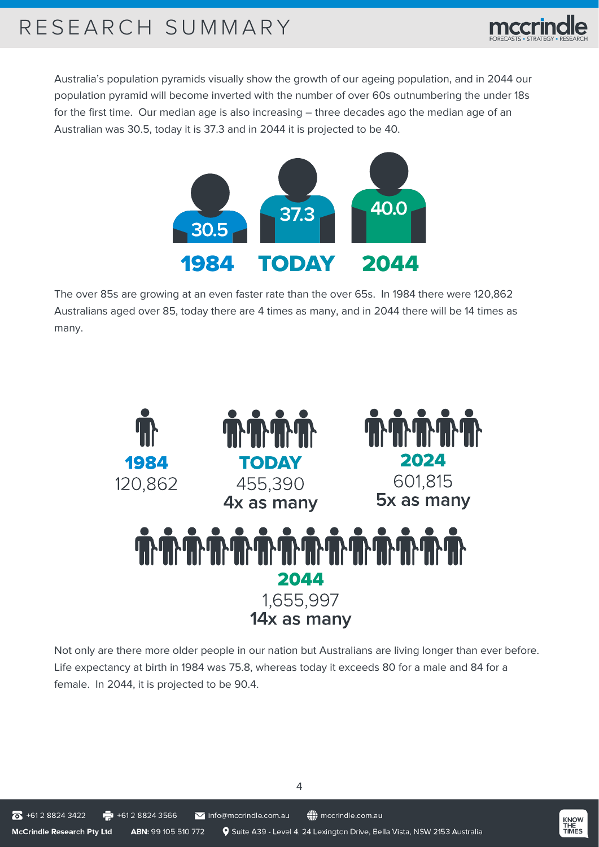

Australia's population pyramids visually show the growth of our ageing population, and in 2044 our population pyramid will become inverted with the number of over 60s outnumbering the under 18s for the first time. Our median age is also increasing – three decades ago the median age of an Australian was 30.5, today it is 37.3 and in 2044 it is projected to be 40.



The over 85s are growing at an even faster rate than the over 65s. In 1984 there were 120,862 Australians aged over 85, today there are 4 times as many, and in 2044 there will be 14 times as many.



Not only are there more older people in our nation but Australians are living longer than ever before. Life expectancy at birth in 1984 was 75.8, whereas today it exceeds 80 for a male and 84 for a female. In 2044, it is projected to be 90.4.

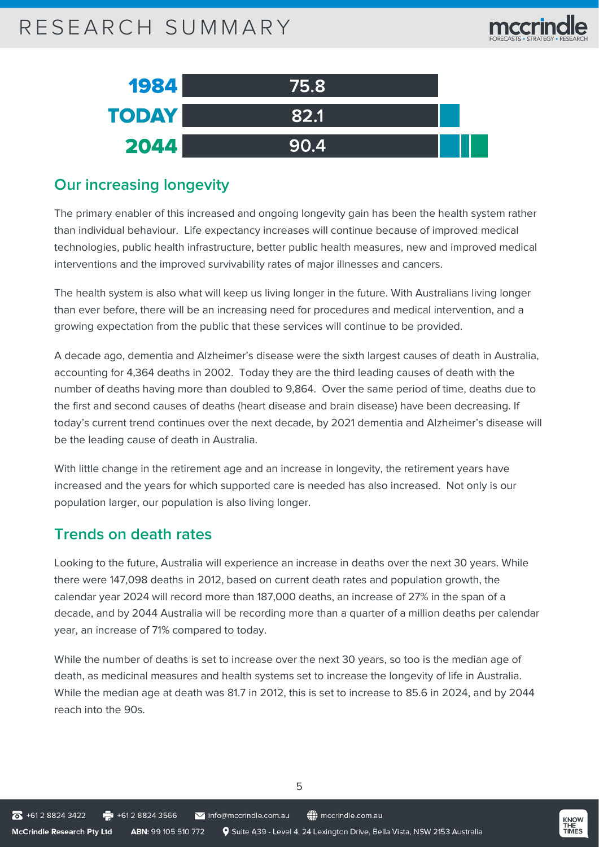| 1984         | 175.81 |  |
|--------------|--------|--|
| <b>TODAY</b> | 82.1   |  |
| 2044         | 90.4   |  |

## **Our increasing longevity**

The primary enabler of this increased and ongoing longevity gain has been the health system rather than individual behaviour. Life expectancy increases will continue because of improved medical technologies, public health infrastructure, better public health measures, new and improved medical interventions and the improved survivability rates of major illnesses and cancers.

The health system is also what will keep us living longer in the future. With Australians living longer than ever before, there will be an increasing need for procedures and medical intervention, and a growing expectation from the public that these services will continue to be provided.

A decade ago, dementia and Alzheimer's disease were the sixth largest causes of death in Australia, accounting for 4,364 deaths in 2002. Today they are the third leading causes of death with the number of deaths having more than doubled to 9,864. Over the same period of time, deaths due to the first and second causes of deaths (heart disease and brain disease) have been decreasing. If today's current trend continues over the next decade, by 2021 dementia and Alzheimer's disease will be the leading cause of death in Australia.

With little change in the retirement age and an increase in longevity, the retirement years have increased and the years for which supported care is needed has also increased. Not only is our population larger, our population is also living longer.

## **Trends on death rates**

Looking to the future, Australia will experience an increase in deaths over the next 30 years. While there were 147,098 deaths in 2012, based on current death rates and population growth, the calendar year 2024 will record more than 187,000 deaths, an increase of 27% in the span of a decade, and by 2044 Australia will be recording more than a quarter of a million deaths per calendar year, an increase of 71% compared to today.

While the number of deaths is set to increase over the next 30 years, so too is the median age of death, as medicinal measures and health systems set to increase the longevity of life in Australia. While the median age at death was 81.7 in 2012, this is set to increase to 85.6 in 2024, and by 2044 reach into the 90s.

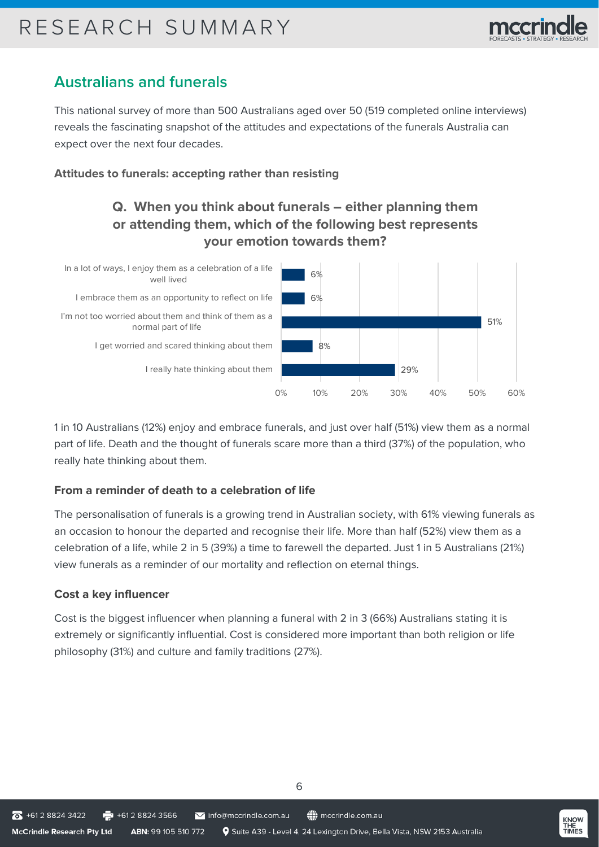

## **Australians and funerals**

This national survey of more than 500 Australians aged over 50 (519 completed online interviews) reveals the fascinating snapshot of the attitudes and expectations of the funerals Australia can expect over the next four decades.

## **Attitudes to funerals: accepting rather than resisting**

## **Q. When you think about funerals – either planning them or attending them, which of the following best represents your emotion towards them?**



1 in 10 Australians (12%) enjoy and embrace funerals, and just over half (51%) view them as a normal part of life. Death and the thought of funerals scare more than a third (37%) of the population, who really hate thinking about them.

## **From a reminder of death to a celebration of life**

The personalisation of funerals is a growing trend in Australian society, with 61% viewing funerals as an occasion to honour the departed and recognise their life. More than half (52%) view them as a celebration of a life, while 2 in 5 (39%) a time to farewell the departed. Just 1 in 5 Australians (21%) view funerals as a reminder of our mortality and reflection on eternal things.

## **Cost a key influencer**

Cost is the biggest influencer when planning a funeral with 2 in 3 (66%) Australians stating it is extremely or significantly influential. Cost is considered more important than both religion or life philosophy (31%) and culture and family traditions (27%).

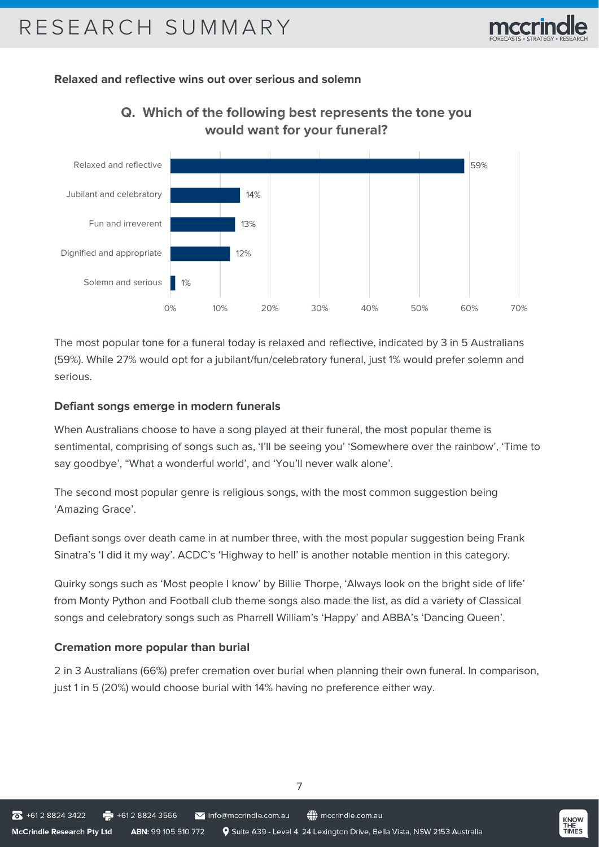

### **Relaxed and reflective wins out over serious and solemn**



## **Q. Which of the following best represents the tone you would want for your funeral?**

The most popular tone for a funeral today is relaxed and reflective, indicated by 3 in 5 Australians (59%). While 27% would opt for a jubilant/fun/celebratory funeral, just 1% would prefer solemn and serious.

#### **Defiant songs emerge in modern funerals**

When Australians choose to have a song played at their funeral, the most popular theme is sentimental, comprising of songs such as, 'I'll be seeing you' 'Somewhere over the rainbow', 'Time to say goodbye', "What a wonderful world', and 'You'll never walk alone'.

The second most popular genre is religious songs, with the most common suggestion being 'Amazing Grace'.

Defiant songs over death came in at number three, with the most popular suggestion being Frank Sinatra's 'I did it my way'. ACDC's 'Highway to hell' is another notable mention in this category.

Quirky songs such as 'Most people I know' by Billie Thorpe, 'Always look on the bright side of life' from Monty Python and Football club theme songs also made the list, as did a variety of Classical songs and celebratory songs such as Pharrell William's 'Happy' and ABBA's 'Dancing Queen'.

## **Cremation more popular than burial**

2 in 3 Australians (66%) prefer cremation over burial when planning their own funeral. In comparison, just 1 in 5 (20%) would choose burial with 14% having no preference either way.

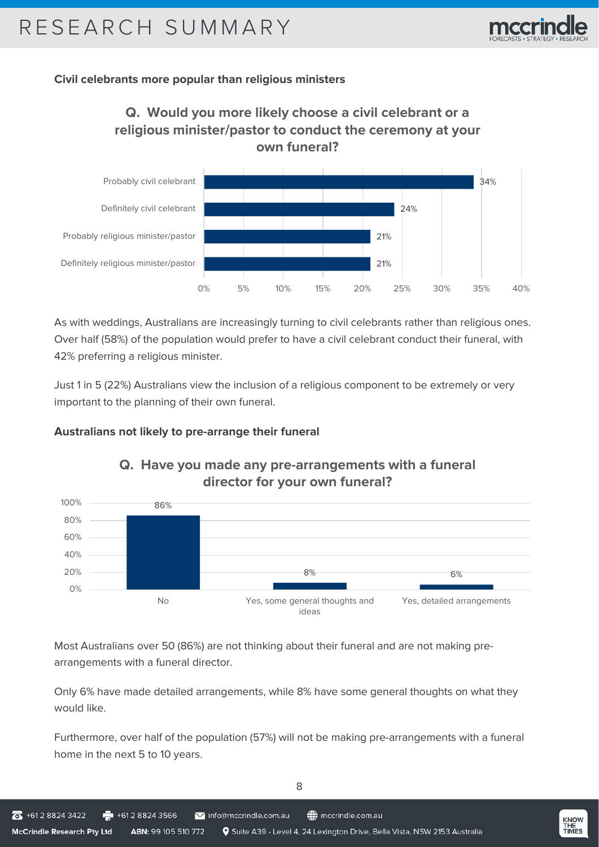

### **Civil celebrants more popular than religious ministers**





As with weddings, Australians are increasingly turning to civil celebrants rather than religious ones. Over half (58%) of the population would prefer to have a civil celebrant conduct their funeral, with 42% preferring a religious minister.

Just 1 in 5 (22%) Australians view the inclusion of a religious component to be extremely or very important to the planning of their own funeral.

#### **Australians not likely to pre-arrange their funeral**



## **Q. Have you made any pre-arrangements with a funeral director for your own funeral?**

Most Australians over 50 (86%) are not thinking about their funeral and are not making prearrangements with a funeral director.

Only 6% have made detailed arrangements, while 8% have some general thoughts on what they would like.

Furthermore, over half of the population (57%) will not be making pre-arrangements with a funeral home in the next 5 to 10 years.